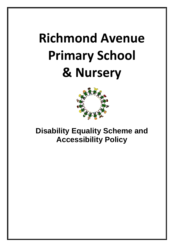# **Richmond Avenue Primary School & Nursery**



**Disability Equality Scheme and Accessibility Policy**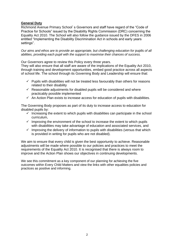# **General Duty**

Richmond Avenue Primary School's Governors and staff have regard of the "Code of Practice for Schools" issued by the Disability Rights Commission (DRC) concerning the Equality Act 2010. The School will also follow the guidance issued by the DFES in 2006 entitled "Implementing the Disability Discrimination Act in schools and early years settings".

*Our aims and ethos are to provide an appropriate, but challenging education for pupils of all abilities, providing each pupil with the support to maximise their chances of success.* 

Our Governors agree to review this Policy every three years.

They will also ensure that all staff are aware of the implications of the Equality Act 2010, through training and development opportunities, embed good practice across all aspects of school life. The school through its Governing Body and Leadership will ensure that:

- $\checkmark$  Pupils with disabilities will not be treated less favourably than others for reasons related to their disability
- $\checkmark$  Reasonable adjustments for disabled pupils will be considered and where practicably possible implemented
- $\checkmark$  An Action Plan exists to increase access for education of pupils with disabilities.

The Governing Body proposes as part of its duty to increase access to education for disabled pupils by:

- $\checkmark$  Increasing the extent to which pupils with disabilities can participate in the school curriculum,
- $\checkmark$  Improving the environment of the school to increase the extent to which pupils with disabilities may take advantage of education and associated services, and
- $\checkmark$  Improving the delivery of information to pupils with disabilities (versus that which is provided in writing for pupils who are not disabled).

We aim to ensure that every child is given the best opportunity to achieve. Reasonable adjustments will be made where possible to our policies and practices to meet the requirements of the Equality Act 2010. It is recognised that there is always room to improve and the Action Plan shows our objectives in continuing developments.

We see this commitment as a key component of our planning for achieving the five outcomes within Every Child Matters and view the links with other equalities policies and practices as positive and informing.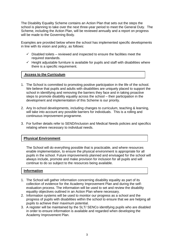The Disability Equality Scheme contains an Action Plan that sets out the steps the school is planning to take over the next three-year period to meet the General Duty. The Scheme, including the Action Plan, will be reviewed annually and a report on progress will be made to the Governing Body.

Examples are provided below where the school has implemented specific developments in line with its vision and policy, as follows:

- $\checkmark$  Disabled toilets reviewed and inspected to ensure the facilities meet the required standards.
- $\checkmark$  Height adjustable furniture is available for pupils and staff with disabilities where there is a specific requirement.

#### **Access to the Curriculum**

- 1. The School is committed to promoting positive participation in the life of the school. We believe that pupils and adults with disabilities are uniquely placed to support the school in identifying and removing the barriers they face and in taking proactive steps to promote disability equality across the school – their participation in the development and implementation of this Scheme is our priority.
- 2. Any In-school developments, including changes to curriculum, teaching & learning, will take into account any possible barriers for individuals. This is a rolling and continuous improvement programme.
- 3. For further details refer to SEND/Inclusion and Medical Needs policies and specifics relating where necessary to individual needs.

# **Physical Environment**

The School will do everything possible that is practicable, and where resources enable implementation, to ensure the physical environment is appropriate for all pupils in the school. Future improvements planned and envisaged for the school will always include, promote and make provision for inclusion for all pupils and will continue to do so subject to the resources being available.

# **Information**

- 1. The School will gather information concerning disability equality as part of its collection of evidence for the Academy Improvement Plan and during the selfevaluation process. The information will be used to set and review the disability equality objectives outlined in an Action Plan where necessary.
- 2. Information systems will be used to monitor our progress as a school and the progress of pupils with disabilities within the school to ensure that we are helping all pupils to achieve their maximum potential.
- 3. A register will be maintained by the SLT/ SENCo identifying pupils who are disabled in order to ensure information is available and regarded when developing the Academy Improvement Plan.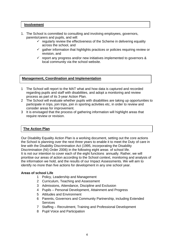#### **Involvement**

- 1. The School is committed to consulting and involving employees, governors, parents/carers and pupils, and will:
	- $\checkmark$  regularly review the effectiveness of the Scheme in delivering equality across the school, and
	- $\checkmark$  gather information that highlights practices or policies requiring review or revision, and
	- $\checkmark$  report any progress and/or new initiatives implemented to governors & local community via the school website.

# **Management, Coordination and Implementation**

- 1 The School will report to the MAT what and how data is captured and recorded regarding pupils and staff with disabilities, and adopt a monitoring and review process as part of its 3-year Action Plan.
- 2 The School will evaluate whether pupils with disabilities are taking up opportunities to participate in trips, join trips, join in sporting activities etc, in order to review and consider areas for improvement.
- 3 It is envisaged that the process of gathering information will highlight areas that require review or revision.

# **The Action Plan**

Our Disability Equality Action Plan is a working document, setting out the core actions the School is planning over the next three years to enable it to meet the Duty of care in line with the Disability Discrimination Act (1995, incorporating the Disability Discrimination (NI) Order 2006) in the following eight areas of school life. It is not our intention to cover each of the eight functions annually. Rather, we will prioritise our areas of action according to the School context, monitoring and analysis of the information we hold, and the results of our Impact Assessments. We will aim to identify no more than five actions for development in any one school year.

#### **Areas of school Life**

- 1 Policy, Leadership and Management
- 2 Curriculum, Teaching and Assessment
- 3 Admissions, Attendance, Discipline and Exclusion
- 4 Pupils Personal Development, Attainment and Progress
- 5 Attitudes and Environment
- 6 Parents, Governors and Community Partnership, including Extended **Services**
- 7 Staffing Recruitment, Training and Professional Development
- 8 Pupil Voice and Participation